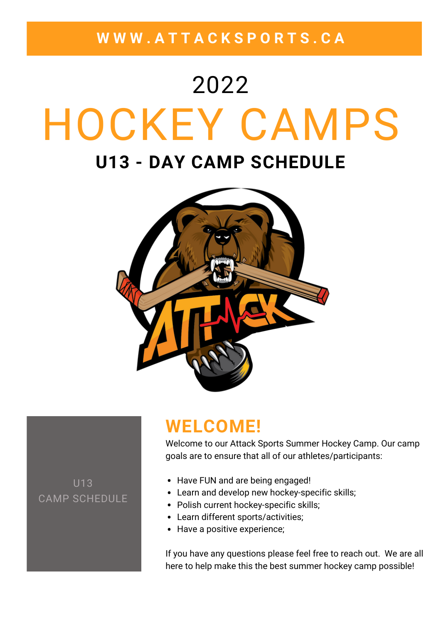**W W W . A T T A C K S P O R T S . C A**

# HOCKEY CAMPS **U13 - DAY CAMP SCHEDULE** 2022



### **WELCOME!**

Welcome to our Attack Sports Summer Hockey Camp. Our camp goals are to ensure that all of our athletes/participants:

U13 CAMP SCHEDULE

- Have FUN and are being engaged!
- Learn and develop new hockey-specific skills;
- Polish current hockey-specific skills;
- Learn different sports/activities;
- Have a positive experience;

If you have any questions please feel free to reach out. We are all here to help make this the best summer hockey camp possible!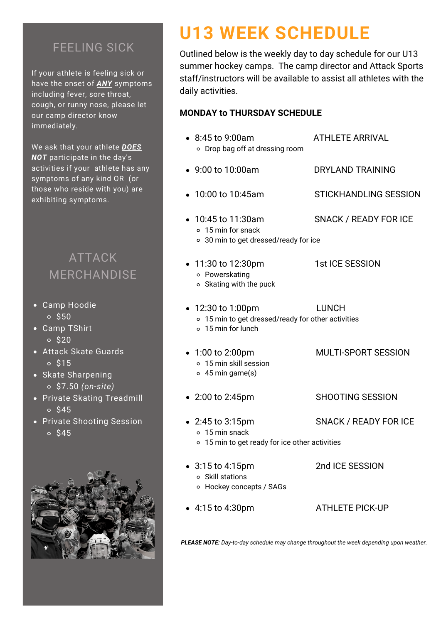#### FEELING SICK

If your athlete is feeling sick or have the onset of *ANY* symptoms including fever, sore throat, cough, or runny nose, please let our camp director know immediately.

We ask that your athlete *DOES NOT* participate in the day's activities if your athlete has any symptoms of any kind OR (or those who reside with you) are exhibiting symptoms.

### ATTACK MERCHANDISE

- Camp Hoodie  $\circ$  \$50
- Camp TShirt  $\circ$  \$20
- Attack Skate Guards  $0$  \$15
- Skate Sharpening \$7.50 *(on-site)*
- Private Skating Treadmill  $0<sup>545</sup>$
- Private Shooting Session  $0<sup>545</sup>$



# **U13 WEEK SCHEDULE**

Outlined below is the weekly day to day schedule for our U13 summer hockey camps. The camp director and Attack Sports staff/instructors will be available to assist all athletes with the daily activities.

#### **MONDAY to THURSDAY SCHEDULE**

8:45 to 9:00am ATHLETE ARRIVAL Drop bag off at dressing room 9:00 to 10:00am DRYLAND TRAINING • 10:00 to 10:45am STICKHANDLING SESSION 10:45 to 11:30am SNACK / READY FOR ICE 15 min for snack 30 min to get dressed/ready for ice • 11:30 to 12:30pm 1st ICE SESSION Powerskating  $\circ$  Skating with the puck • 12:30 to 1:00pm LUNCH 15 min to get dressed/ready for other activities 15 min for lunch 1:00 to 2:00pm MULTI-SPORT SESSION 15 min skill session 45 min game(s) • 2:00 to 2:45pm SHOOTING SESSION 2:45 to 3:15pm SNACK / READY FOR ICE 15 min snack 15 min to get ready for ice other activities 3:15 to 4:15pm 2nd ICE SESSION Skill stations Hockey concepts / SAGs 4:15 to 4:30pm ATHLETE PICK-UP

*PLEASE NOTE: Day-to-day schedule may change throughout the week depending upon weather.*